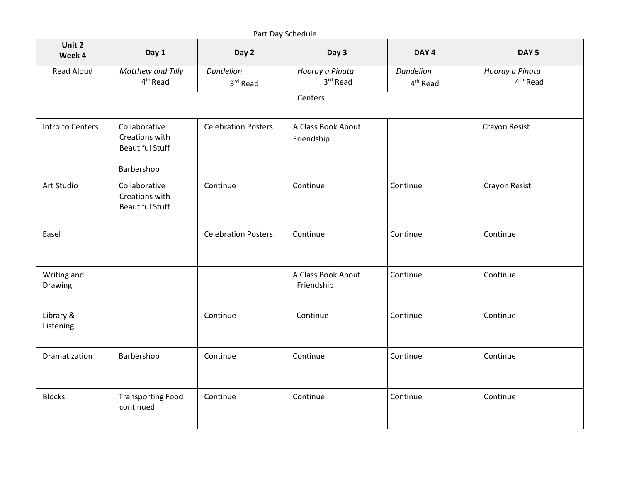| Part Day Schedule      |                                                           |                            |                                  |                                          |                                         |  |  |  |
|------------------------|-----------------------------------------------------------|----------------------------|----------------------------------|------------------------------------------|-----------------------------------------|--|--|--|
| Unit 2<br>Week 4       | Day 1                                                     | Day 2                      | Day 3                            | DAY <sub>4</sub>                         | DAY <sub>5</sub>                        |  |  |  |
| <b>Read Aloud</b>      | Matthew and Tilly<br>4 <sup>th</sup> Read                 | Dandelion<br>3rd Read      | Hooray a Pinata<br>3rd Read      | <b>Dandelion</b><br>4 <sup>th</sup> Read | Hooray a Pinata<br>4 <sup>th</sup> Read |  |  |  |
|                        |                                                           |                            | Centers                          |                                          |                                         |  |  |  |
| Intro to Centers       | Collaborative<br>Creations with<br><b>Beautiful Stuff</b> | <b>Celebration Posters</b> | A Class Book About<br>Friendship |                                          | Crayon Resist                           |  |  |  |
|                        | Barbershop                                                |                            |                                  |                                          |                                         |  |  |  |
| Art Studio             | Collaborative<br>Creations with<br><b>Beautiful Stuff</b> | Continue                   | Continue                         | Continue                                 | Crayon Resist                           |  |  |  |
| Easel                  |                                                           | <b>Celebration Posters</b> | Continue                         | Continue                                 | Continue                                |  |  |  |
| Writing and<br>Drawing |                                                           |                            | A Class Book About<br>Friendship | Continue                                 | Continue                                |  |  |  |
| Library &<br>Listening |                                                           | Continue                   | Continue                         | Continue                                 | Continue                                |  |  |  |
| Dramatization          | Barbershop                                                | Continue                   | Continue                         | Continue                                 | Continue                                |  |  |  |
| <b>Blocks</b>          | <b>Transporting Food</b><br>continued                     | Continue                   | Continue                         | Continue                                 | Continue                                |  |  |  |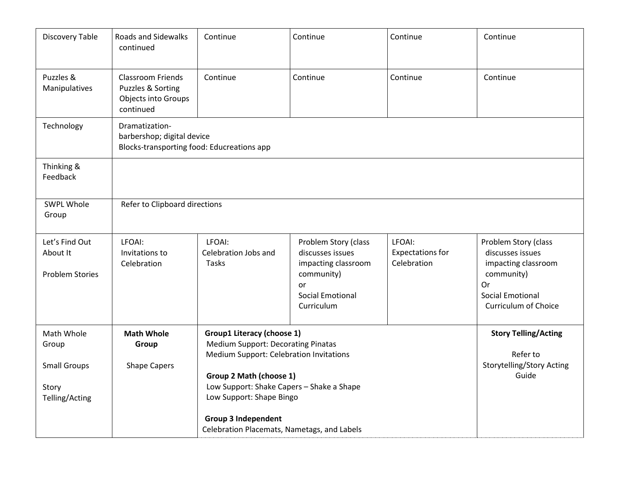| <b>Roads and Sidewalks</b><br>continued                                                    | Continue                                | Continue                                                                                                                     | Continue                                                                                                                                                                                                                                                              | Continue                                                                                                                                      |  |  |
|--------------------------------------------------------------------------------------------|-----------------------------------------|------------------------------------------------------------------------------------------------------------------------------|-----------------------------------------------------------------------------------------------------------------------------------------------------------------------------------------------------------------------------------------------------------------------|-----------------------------------------------------------------------------------------------------------------------------------------------|--|--|
| <b>Classroom Friends</b><br>Puzzles & Sorting<br><b>Objects into Groups</b><br>continued   | Continue                                | Continue                                                                                                                     | Continue                                                                                                                                                                                                                                                              | Continue                                                                                                                                      |  |  |
| Dramatization-<br>barbershop; digital device<br>Blocks-transporting food: Educreations app |                                         |                                                                                                                              |                                                                                                                                                                                                                                                                       |                                                                                                                                               |  |  |
|                                                                                            |                                         |                                                                                                                              |                                                                                                                                                                                                                                                                       |                                                                                                                                               |  |  |
| Refer to Clipboard directions                                                              |                                         |                                                                                                                              |                                                                                                                                                                                                                                                                       |                                                                                                                                               |  |  |
| LFOAI:<br>Invitations to<br>Celebration                                                    | LFOAI:<br>Celebration Jobs and<br>Tasks | Problem Story (class<br>discusses issues<br>impacting classroom<br>community)<br>or<br><b>Social Emotional</b><br>Curriculum | LFOAI:<br><b>Expectations for</b><br>Celebration                                                                                                                                                                                                                      | Problem Story (class<br>discusses issues<br>impacting classroom<br>community)<br>Or<br><b>Social Emotional</b><br><b>Curriculum of Choice</b> |  |  |
| <b>Math Whole</b><br>Group                                                                 |                                         | <b>Story Telling/Acting</b><br>Refer to                                                                                      |                                                                                                                                                                                                                                                                       |                                                                                                                                               |  |  |
| <b>Shape Capers</b>                                                                        | <b>Group 3 Independent</b>              | <b>Storytelling/Story Acting</b><br>Guide                                                                                    |                                                                                                                                                                                                                                                                       |                                                                                                                                               |  |  |
|                                                                                            |                                         |                                                                                                                              | <b>Group1 Literacy (choose 1)</b><br>Medium Support: Decorating Pinatas<br>Medium Support: Celebration Invitations<br>Group 2 Math (choose 1)<br>Low Support: Shake Capers - Shake a Shape<br>Low Support: Shape Bingo<br>Celebration Placemats, Nametags, and Labels |                                                                                                                                               |  |  |